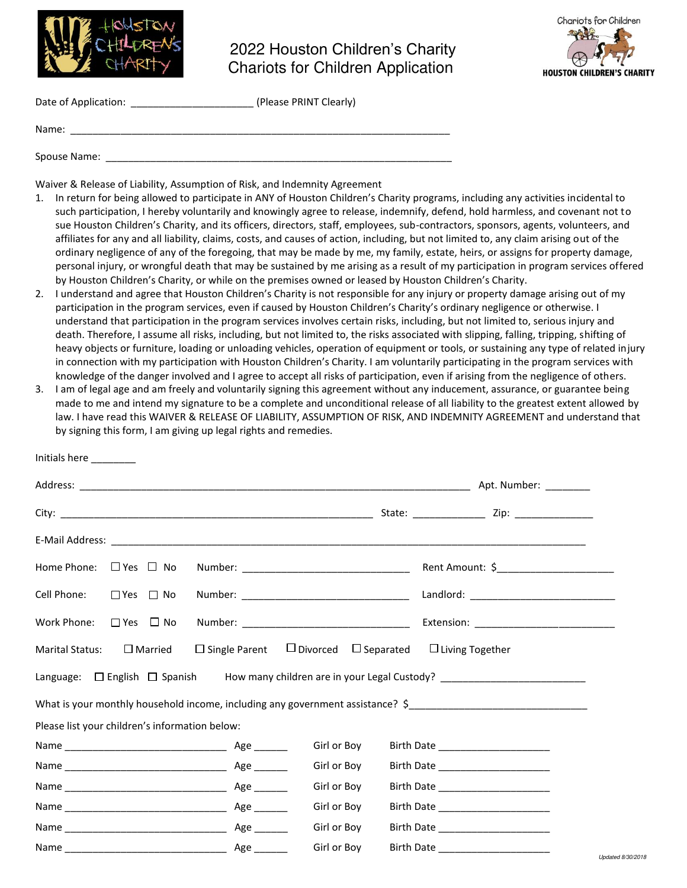

## 2022 Houston Children's Charity Chariots for Children Application



| Date of Application: | (Please PRINT Clearly) |
|----------------------|------------------------|
|                      |                        |
| Name:                |                        |

Spouse Name:

Initials here \_\_\_\_\_\_\_\_

Waiver & Release of Liability, Assumption of Risk, and Indemnity Agreement

- 1. In return for being allowed to participate in ANY of Houston Children's Charity programs, including any activities incidental to such participation, I hereby voluntarily and knowingly agree to release, indemnify, defend, hold harmless, and covenant not to sue Houston Children's Charity, and its officers, directors, staff, employees, sub-contractors, sponsors, agents, volunteers, and affiliates for any and all liability, claims, costs, and causes of action, including, but not limited to, any claim arising out of the ordinary negligence of any of the foregoing, that may be made by me, my family, estate, heirs, or assigns for property damage, personal injury, or wrongful death that may be sustained by me arising as a result of my participation in program services offered by Houston Children's Charity, or while on the premises owned or leased by Houston Children's Charity.
- 2. I understand and agree that Houston Children's Charity is not responsible for any injury or property damage arising out of my participation in the program services, even if caused by Houston Children's Charity's ordinary negligence or otherwise. I understand that participation in the program services involves certain risks, including, but not limited to, serious injury and death. Therefore, I assume all risks, including, but not limited to, the risks associated with slipping, falling, tripping, shifting of heavy objects or furniture, loading or unloading vehicles, operation of equipment or tools, or sustaining any type of related injury in connection with my participation with Houston Children's Charity. I am voluntarily participating in the program services with knowledge of the danger involved and I agree to accept all risks of participation, even if arising from the negligence of others.
- 3. I am of legal age and am freely and voluntarily signing this agreement without any inducement, assurance, or guarantee being made to me and intend my signature to be a complete and unconditional release of all liability to the greatest extent allowed by law. I have read this WAIVER & RELEASE OF LIABILITY, ASSUMPTION OF RISK, AND INDEMNITY AGREEMENT and understand that by signing this form, I am giving up legal rights and remedies.

| initials nere                                  |                                                       |             |                                                                                                     |                   |
|------------------------------------------------|-------------------------------------------------------|-------------|-----------------------------------------------------------------------------------------------------|-------------------|
|                                                |                                                       |             |                                                                                                     |                   |
|                                                |                                                       |             |                                                                                                     |                   |
|                                                |                                                       |             |                                                                                                     |                   |
| Home Phone: $\Box$ Yes $\Box$ No               |                                                       |             |                                                                                                     |                   |
| Cell Phone:<br>□ Yes □ No                      |                                                       |             |                                                                                                     |                   |
| $\Box$ Yes $\Box$ No<br>Work Phone:            |                                                       |             |                                                                                                     |                   |
| $\square$ Married<br><b>Marital Status:</b>    | $\Box$ Single Parent $\Box$ Divorced $\Box$ Separated |             | $\Box$ Living Together                                                                              |                   |
|                                                |                                                       |             | Language: □ English □ Spanish How many children are in your Legal Custody? ________________________ |                   |
|                                                |                                                       |             | What is your monthly household income, including any government assistance? \$                      |                   |
| Please list your children's information below: |                                                       |             |                                                                                                     |                   |
|                                                |                                                       | Girl or Boy | Birth Date ______________________                                                                   |                   |
|                                                |                                                       | Girl or Boy | Birth Date ______________________                                                                   |                   |
|                                                |                                                       | Girl or Boy | Birth Date _______________________                                                                  |                   |
|                                                |                                                       | Girl or Boy | Birth Date _______________________                                                                  |                   |
|                                                |                                                       | Girl or Boy | Birth Date _______________________                                                                  |                   |
|                                                |                                                       | Girl or Boy |                                                                                                     | Updated 8/30/2018 |